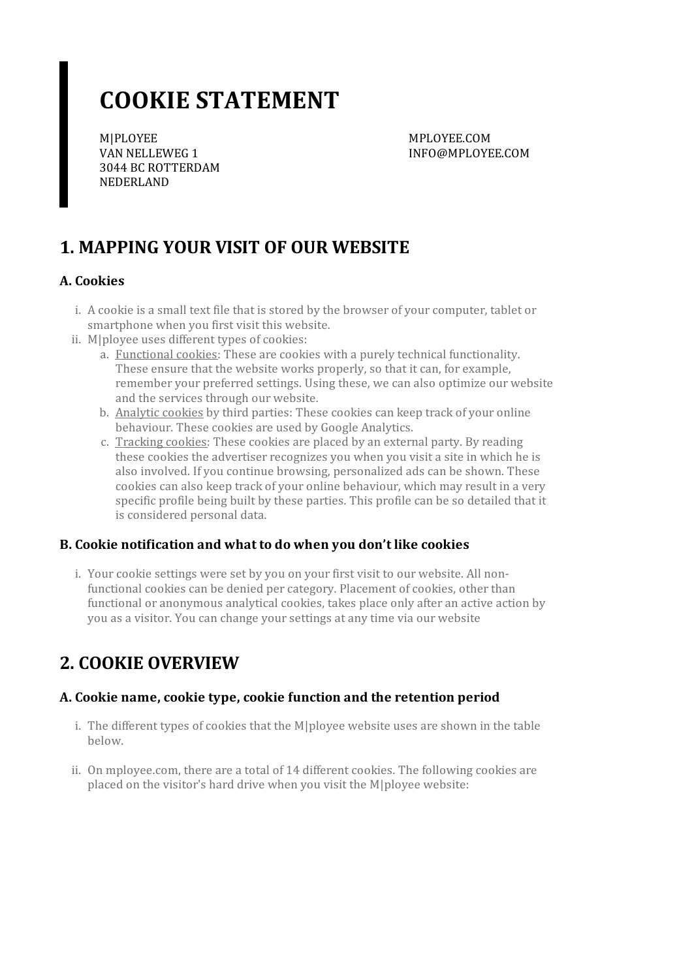# **COOKIE STATEMENT**

M|PLOYEE VAN NELLEWEG 1 3044 BC ROTTERDAM NEDERLAND

MPLOYEE.COM INFO@MPLOYEE.COM

# **1. MAPPING YOUR VISIT OF OUR WEBSITE**

#### **A. Cookies**

- i. A cookie is a small text file that is stored by the browser of your computer, tablet or smartphone when you first visit this website.
- ii. M|ployee uses different types of cookies:
	- a. Functional cookies: These are cookies with a purely technical functionality. These ensure that the website works properly, so that it can, for example, remember your preferred settings. Using these, we can also optimize our website and the services through our website.
	- b. Analytic cookies by third parties: These cookies can keep track of your online behaviour. These cookies are used by Google Analytics.
	- c. Tracking cookies: These cookies are placed by an external party. By reading these cookies the advertiser recognizes you when you visit a site in which he is also involved. If you continue browsing, personalized ads can be shown. These cookies can also keep track of your online behaviour, which may result in a very specific profile being built by these parties. This profile can be so detailed that it is considered personal data.

#### **B. Cookie notification and what to do when you don't like cookies**

i. Your cookie settings were set by you on your first visit to our website. All nonfunctional cookies can be denied per category. Placement of cookies, other than functional or anonymous analytical cookies, takes place only after an active action by you as a visitor. You can change your settings at any time via our website

### **2. COOKIE OVERVIEW**

#### **A. Cookie name,cookie type,cookie function and the retention period**

- i. The different types of cookies that the M|ployee website uses are shown in the table below.
- ii. On mployee.com, there are a total of 14 different cookies. The following cookies are placed on the visitor's hard drive when you visit the M|ployee website: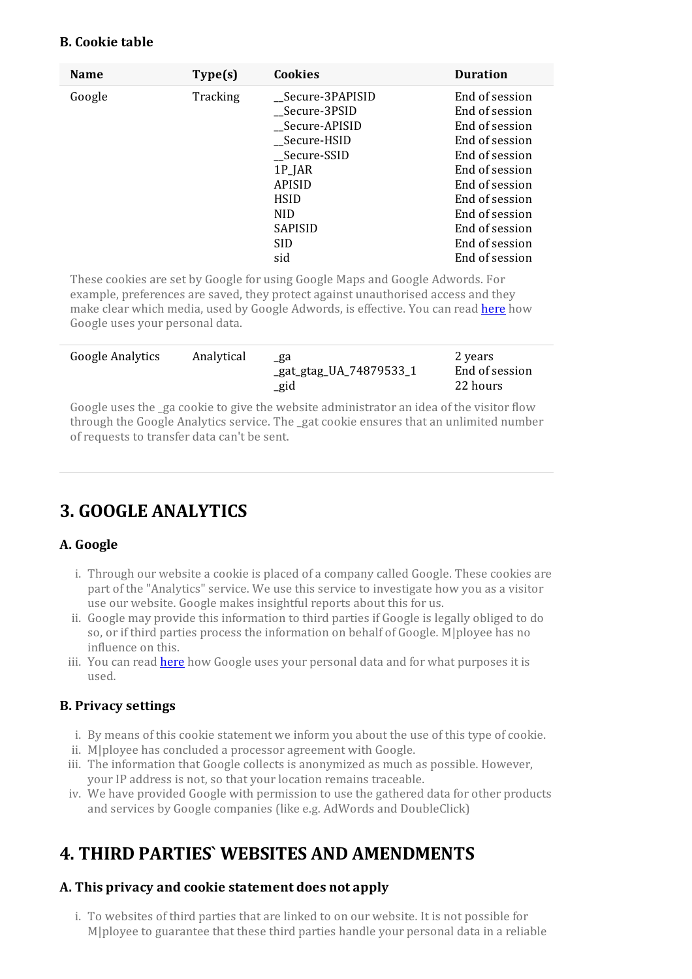#### **B. Cookie table**

| <b>Name</b> | Type(s)  | Cookies           | <b>Duration</b> |
|-------------|----------|-------------------|-----------------|
| Google      | Tracking | __Secure-3PAPISID | End of session  |
|             |          | Secure-3PSID      | End of session  |
|             |          | _Secure-APISID    | End of session  |
|             |          | __Secure-HSID     | End of session  |
|             |          | Secure-SSID       | End of session  |
|             |          | $1P$ _JAR         | End of session  |
|             |          | <b>APISID</b>     | End of session  |
|             |          | <b>HSID</b>       | End of session  |
|             |          | NID.              | End of session  |
|             |          | <b>SAPISID</b>    | End of session  |
|             |          | <b>SID</b>        | End of session  |
|             |          | sid               | End of session  |

These cookies are set by Google for using Google Maps and Google Adwords. For example, preferences are saved, they protect against unauthorised access and they make clear which media, used by Google Adwords, is effective. You can read [here](https://policies.google.com/technologies/partner-sites?hl=en) how Google uses your personal data.

| Google Analytics | Analytical | _ga<br>_gat_gtag_UA_74879533_1<br>_gid | 2 years<br>End of session<br>22 hours |
|------------------|------------|----------------------------------------|---------------------------------------|
|------------------|------------|----------------------------------------|---------------------------------------|

Google uses the ga cookie to give the website administrator an idea of the visitor flow through the Google Analytics service. The \_gat cookie ensures that an unlimited number ofrequests to transfer data can't be sent.

# **3. GOOGLE ANALYTICS**

#### **A. Google**

- i. Through our website a cookie is placed of a company called Google. These cookies are part of the "Analytics" service. We use this service to investigate how you as a visitor use our website. Google makes insightful reports about this for us.
- ii. Google may provide this information to third parties if Google is legally obliged to do so, orif third parties process the information on behalf of Google. M|ployee has no influence on this.
- iii. You can read [here](https://policies.google.com/technologies/partner-sites?hl=en) how Google uses your personal data and for what purposes it is used.

#### **B. Privacy settings**

- i. By means of this cookie statement we inform you about the use of this type ofcookie.
- ii. M|ployee has concluded a processor agreement with Google.
- iii. The information that Google collects is anonymized as much as possible. However, your IP address is not, so that your location remains traceable.
- iv. We have provided Google with permission to use the gathered data for other products and services by Google companies (like e.g. AdWords and DoubleClick)

# **4. THIRD PARTIES` WEBSITES AND AMENDMENTS**

#### **A. This privacy and cookie statement does not apply**

i. To websites of third parties that are linked to on our website. It is not possible for M|ployee to guarantee that these third parties handle your personal data in a reliable